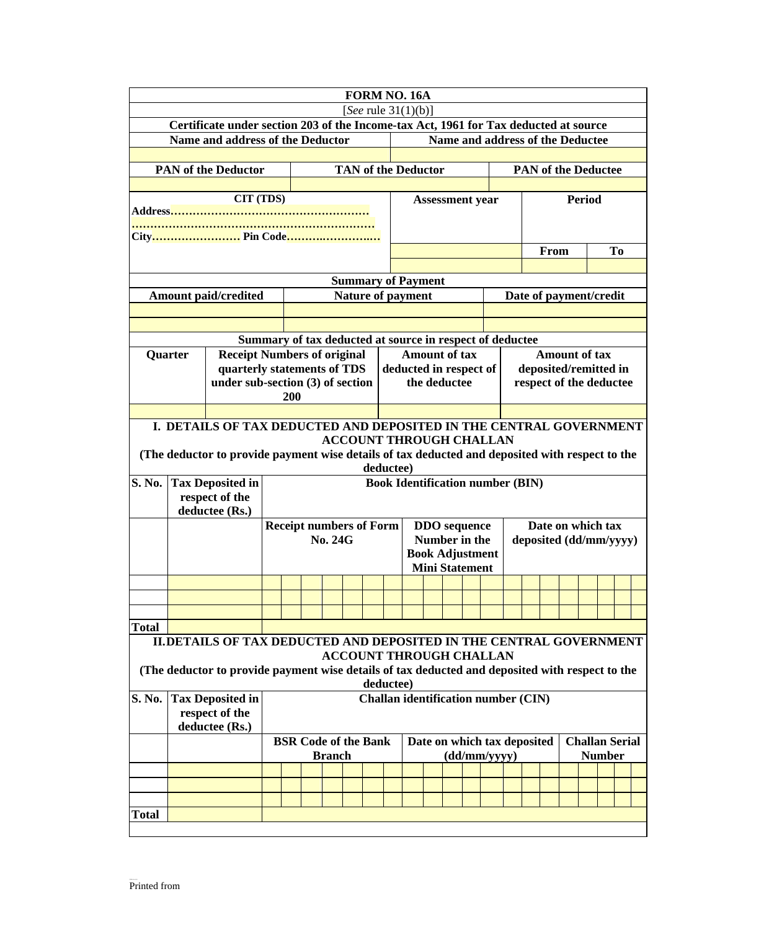|                                                                                                 |                                                                                                 |                                |                                                                   |  |  |  |  | FORM NO. 16A                            |                                                |              |              |  |  |                         |                        |                       |  |               |  |  |  |
|-------------------------------------------------------------------------------------------------|-------------------------------------------------------------------------------------------------|--------------------------------|-------------------------------------------------------------------|--|--|--|--|-----------------------------------------|------------------------------------------------|--------------|--------------|--|--|-------------------------|------------------------|-----------------------|--|---------------|--|--|--|
|                                                                                                 |                                                                                                 |                                |                                                                   |  |  |  |  | [See rule $31(1)(b)$ ]                  |                                                |              |              |  |  |                         |                        |                       |  |               |  |  |  |
|                                                                                                 | Certificate under section 203 of the Income-tax Act, 1961 for Tax deducted at source            |                                |                                                                   |  |  |  |  |                                         |                                                |              |              |  |  |                         |                        |                       |  |               |  |  |  |
|                                                                                                 | Name and address of the Deductor<br>Name and address of the Deductee                            |                                |                                                                   |  |  |  |  |                                         |                                                |              |              |  |  |                         |                        |                       |  |               |  |  |  |
|                                                                                                 |                                                                                                 |                                |                                                                   |  |  |  |  |                                         |                                                |              |              |  |  |                         |                        |                       |  |               |  |  |  |
| <b>TAN of the Deductor</b><br><b>PAN of the Deductor</b>                                        |                                                                                                 |                                |                                                                   |  |  |  |  |                                         | <b>PAN of the Deductee</b>                     |              |              |  |  |                         |                        |                       |  |               |  |  |  |
|                                                                                                 | CIT (TDS)                                                                                       |                                |                                                                   |  |  |  |  |                                         |                                                |              |              |  |  |                         |                        |                       |  | <b>Period</b> |  |  |  |
|                                                                                                 |                                                                                                 |                                |                                                                   |  |  |  |  |                                         | <b>Assessment year</b>                         |              |              |  |  |                         |                        |                       |  |               |  |  |  |
|                                                                                                 |                                                                                                 |                                |                                                                   |  |  |  |  |                                         |                                                |              |              |  |  |                         |                        |                       |  |               |  |  |  |
|                                                                                                 |                                                                                                 |                                |                                                                   |  |  |  |  |                                         |                                                |              |              |  |  |                         |                        |                       |  |               |  |  |  |
|                                                                                                 |                                                                                                 |                                |                                                                   |  |  |  |  |                                         |                                                |              |              |  |  |                         | From<br>To             |                       |  |               |  |  |  |
|                                                                                                 |                                                                                                 |                                |                                                                   |  |  |  |  |                                         |                                                |              |              |  |  |                         |                        |                       |  |               |  |  |  |
| <b>Summary of Payment</b>                                                                       |                                                                                                 |                                |                                                                   |  |  |  |  |                                         |                                                |              |              |  |  |                         |                        |                       |  |               |  |  |  |
| <b>Amount paid/credited</b>                                                                     |                                                                                                 |                                | <b>Nature of payment</b>                                          |  |  |  |  |                                         |                                                |              |              |  |  | Date of payment/credit  |                        |                       |  |               |  |  |  |
|                                                                                                 |                                                                                                 |                                |                                                                   |  |  |  |  |                                         |                                                |              |              |  |  |                         |                        |                       |  |               |  |  |  |
|                                                                                                 |                                                                                                 |                                | Summary of tax deducted at source in respect of deductee          |  |  |  |  |                                         |                                                |              |              |  |  |                         |                        |                       |  |               |  |  |  |
|                                                                                                 |                                                                                                 |                                |                                                                   |  |  |  |  |                                         |                                                |              |              |  |  |                         |                        | <b>Amount of tax</b>  |  |               |  |  |  |
| Quarter                                                                                         |                                                                                                 |                                | <b>Receipt Numbers of original</b><br>quarterly statements of TDS |  |  |  |  |                                         | <b>Amount of tax</b><br>deducted in respect of |              |              |  |  |                         |                        | deposited/remitted in |  |               |  |  |  |
|                                                                                                 | under sub-section (3) of section                                                                |                                |                                                                   |  |  |  |  |                                         |                                                |              | the deductee |  |  |                         |                        |                       |  |               |  |  |  |
|                                                                                                 |                                                                                                 |                                | 200                                                               |  |  |  |  |                                         |                                                |              |              |  |  | respect of the deductee |                        |                       |  |               |  |  |  |
|                                                                                                 |                                                                                                 |                                |                                                                   |  |  |  |  |                                         |                                                |              |              |  |  |                         |                        |                       |  |               |  |  |  |
|                                                                                                 | I. DETAILS OF TAX DEDUCTED AND DEPOSITED IN THE CENTRAL GOVERNMENT                              |                                |                                                                   |  |  |  |  |                                         |                                                |              |              |  |  |                         |                        |                       |  |               |  |  |  |
| <b>ACCOUNT THROUGH CHALLAN</b>                                                                  |                                                                                                 |                                |                                                                   |  |  |  |  |                                         |                                                |              |              |  |  |                         |                        |                       |  |               |  |  |  |
|                                                                                                 | (The deductor to provide payment wise details of tax deducted and deposited with respect to the |                                |                                                                   |  |  |  |  |                                         |                                                |              |              |  |  |                         |                        |                       |  |               |  |  |  |
| deductee)                                                                                       |                                                                                                 |                                |                                                                   |  |  |  |  |                                         |                                                |              |              |  |  |                         |                        |                       |  |               |  |  |  |
| S. No.                                                                                          | <b>Tax Deposited in</b>                                                                         |                                |                                                                   |  |  |  |  | <b>Book Identification number (BIN)</b> |                                                |              |              |  |  |                         |                        |                       |  |               |  |  |  |
|                                                                                                 | respect of the                                                                                  |                                |                                                                   |  |  |  |  |                                         |                                                |              |              |  |  |                         |                        |                       |  |               |  |  |  |
|                                                                                                 | deductee (Rs.)                                                                                  |                                |                                                                   |  |  |  |  |                                         |                                                |              |              |  |  |                         |                        |                       |  |               |  |  |  |
|                                                                                                 |                                                                                                 | <b>Receipt numbers of Form</b> |                                                                   |  |  |  |  | <b>DDO</b> sequence<br>Number in the    |                                                |              |              |  |  | Date on which tax       |                        |                       |  |               |  |  |  |
|                                                                                                 |                                                                                                 |                                | <b>No. 24G</b>                                                    |  |  |  |  |                                         | <b>Book Adjustment</b>                         |              |              |  |  |                         | deposited (dd/mm/yyyy) |                       |  |               |  |  |  |
|                                                                                                 |                                                                                                 |                                |                                                                   |  |  |  |  |                                         | <b>Mini Statement</b>                          |              |              |  |  |                         |                        |                       |  |               |  |  |  |
|                                                                                                 |                                                                                                 |                                |                                                                   |  |  |  |  |                                         |                                                |              |              |  |  |                         |                        |                       |  |               |  |  |  |
|                                                                                                 |                                                                                                 |                                |                                                                   |  |  |  |  |                                         |                                                |              |              |  |  |                         |                        |                       |  |               |  |  |  |
|                                                                                                 |                                                                                                 |                                |                                                                   |  |  |  |  |                                         |                                                |              |              |  |  |                         |                        |                       |  |               |  |  |  |
| <b>Total</b>                                                                                    |                                                                                                 |                                |                                                                   |  |  |  |  |                                         |                                                |              |              |  |  |                         |                        |                       |  |               |  |  |  |
|                                                                                                 | II. DETAILS OF TAX DEDUCTED AND DEPOSITED IN THE CENTRAL GOVERNMENT                             |                                |                                                                   |  |  |  |  |                                         |                                                |              |              |  |  |                         |                        |                       |  |               |  |  |  |
|                                                                                                 |                                                                                                 |                                |                                                                   |  |  |  |  | <b>ACCOUNT THROUGH CHALLAN</b>          |                                                |              |              |  |  |                         |                        |                       |  |               |  |  |  |
| (The deductor to provide payment wise details of tax deducted and deposited with respect to the |                                                                                                 |                                |                                                                   |  |  |  |  |                                         |                                                |              |              |  |  |                         |                        |                       |  |               |  |  |  |
| deductee)                                                                                       |                                                                                                 |                                |                                                                   |  |  |  |  |                                         |                                                |              |              |  |  |                         |                        |                       |  |               |  |  |  |
| S. No.                                                                                          | <b>Challan identification number (CIN)</b><br><b>Tax Deposited in</b>                           |                                |                                                                   |  |  |  |  |                                         |                                                |              |              |  |  |                         |                        |                       |  |               |  |  |  |
|                                                                                                 | respect of the                                                                                  |                                |                                                                   |  |  |  |  |                                         |                                                |              |              |  |  |                         |                        |                       |  |               |  |  |  |
|                                                                                                 | deductee (Rs.)<br><b>Challan Serial</b><br>Date on which tax deposited                          |                                |                                                                   |  |  |  |  |                                         |                                                |              |              |  |  |                         |                        |                       |  |               |  |  |  |
|                                                                                                 |                                                                                                 |                                | <b>BSR Code of the Bank</b><br><b>Branch</b>                      |  |  |  |  |                                         |                                                | (dd/mm/yyyy) |              |  |  |                         |                        | <b>Number</b>         |  |               |  |  |  |
|                                                                                                 |                                                                                                 |                                |                                                                   |  |  |  |  |                                         |                                                |              |              |  |  |                         |                        |                       |  |               |  |  |  |
|                                                                                                 |                                                                                                 |                                |                                                                   |  |  |  |  |                                         |                                                |              |              |  |  |                         |                        |                       |  |               |  |  |  |
|                                                                                                 |                                                                                                 |                                |                                                                   |  |  |  |  |                                         |                                                |              |              |  |  |                         |                        |                       |  |               |  |  |  |
|                                                                                                 |                                                                                                 |                                |                                                                   |  |  |  |  |                                         |                                                |              |              |  |  |                         |                        |                       |  |               |  |  |  |
| <b>Total</b>                                                                                    |                                                                                                 |                                |                                                                   |  |  |  |  |                                         |                                                |              |              |  |  |                         |                        |                       |  |               |  |  |  |